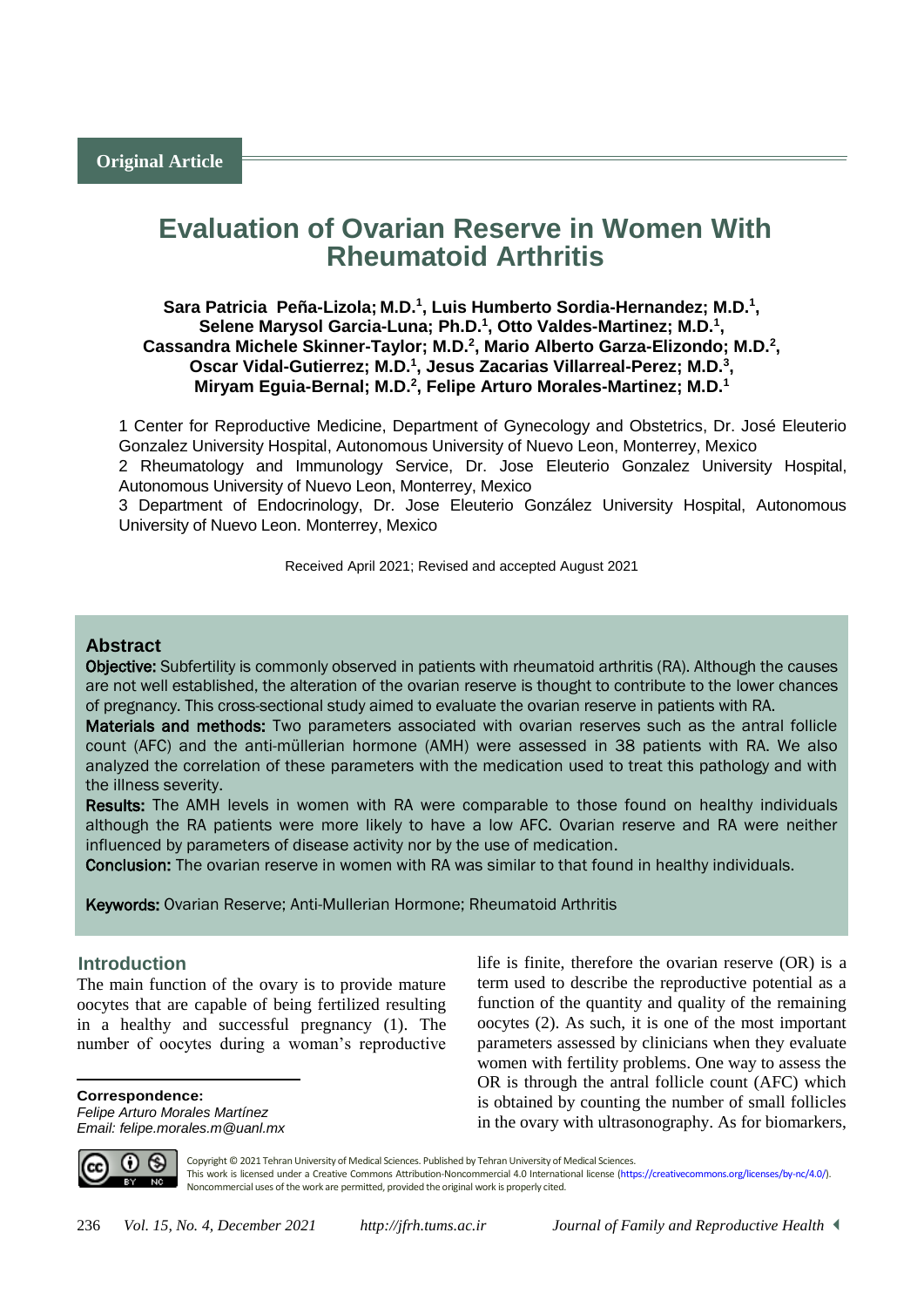# **Evaluation of Ovarian Reserve in Women With Rheumatoid Arthritis**

# **Sara Patricia Peña-Lizola; M.D.<sup>1</sup> , Luis Humberto Sordia-Hernandez; M.D.<sup>1</sup> ,**  Selene Marysol Garcia-Luna; Ph.D.<sup>1</sup>, Otto Valdes-Martinez; M.D.<sup>1</sup>, **Cassandra Michele Skinner-Taylor; M.D.<sup>2</sup> , Mario Alberto Garza-Elizondo; M.D.<sup>2</sup> , Oscar Vidal-Gutierrez; M.D.<sup>1</sup> , Jesus Zacarias Villarreal-Perez; M.D.<sup>3</sup> , Miryam Eguia-Bernal; M.D.<sup>2</sup> , Felipe Arturo Morales-Martinez; M.D.<sup>1</sup>**

1 Center for Reproductive Medicine, Department of Gynecology and Obstetrics, Dr. José Eleuterio Gonzalez University Hospital, Autonomous University of Nuevo Leon, Monterrey, Mexico

2 Rheumatology and Immunology Service, Dr. Jose Eleuterio Gonzalez University Hospital, Autonomous University of Nuevo Leon, Monterrey, Mexico

3 Department of Endocrinology, Dr. Jose Eleuterio González University Hospital, Autonomous University of Nuevo Leon. Monterrey, Mexico

Received April 2021; Revised and accepted August 2021

# **Abstract**

Objective: Subfertility is commonly observed in patients with rheumatoid arthritis (RA). Although the causes are not well established, the alteration of the ovarian reserve is thought to contribute to the lower chances of pregnancy. This cross-sectional study aimed to evaluate the ovarian reserve in patients with RA.

Materials and methods: Two parameters associated with ovarian reserves such as the antral follicle count (AFC) and the anti-müllerian hormone (AMH) were assessed in 38 patients with RA. We also analyzed the correlation of these parameters with the medication used to treat this pathology and with the illness severity.

Results: The AMH levels in women with RA were comparable to those found on healthy individuals although the RA patients were more likely to have a low AFC. Ovarian reserve and RA were neither influenced by parameters of disease activity nor by the use of medication.

Conclusion: The ovarian reserve in women with RA was similar to that found in healthy individuals.

Keywords: Ovarian Reserve; Anti-Mullerian Hormone; Rheumatoid Arthritis

# <sup>1</sup>**Introduction**

The main function of the ovary is to provide mature oocytes that are capable of being fertilized resulting in a healthy and successful pregnancy (1). The number of oocytes during a woman's reproductive

**Correspondence:** *Felipe Arturo Morales Martínez Email: felipe.morales.m@uanl.mx*

life is finite, therefore the ovarian reserve (OR) is a term used to describe the reproductive potential as a function of the quantity and quality of the remaining oocytes (2). As such, it is one of the most important parameters assessed by clinicians when they evaluate women with fertility problems. One way to assess the OR is through the antral follicle count (AFC) which is obtained by counting the number of small follicles in the ovary with ultrasonography. As for biomarkers,



 $\overline{a}$ 

Copyright © 2021 Tehran University of Medical Sciences. Published by Tehran University of Medical Sciences. This work is licensed under a Creative Commons Attribution-Noncommercial 4.0 International license [\(https://creativecommons.org/licenses/by-nc/4.0/\)](https://creativecommons.org/licenses/by-nc/4.0/). Noncommercial uses of the work are permitted, provided the original work is properly cited.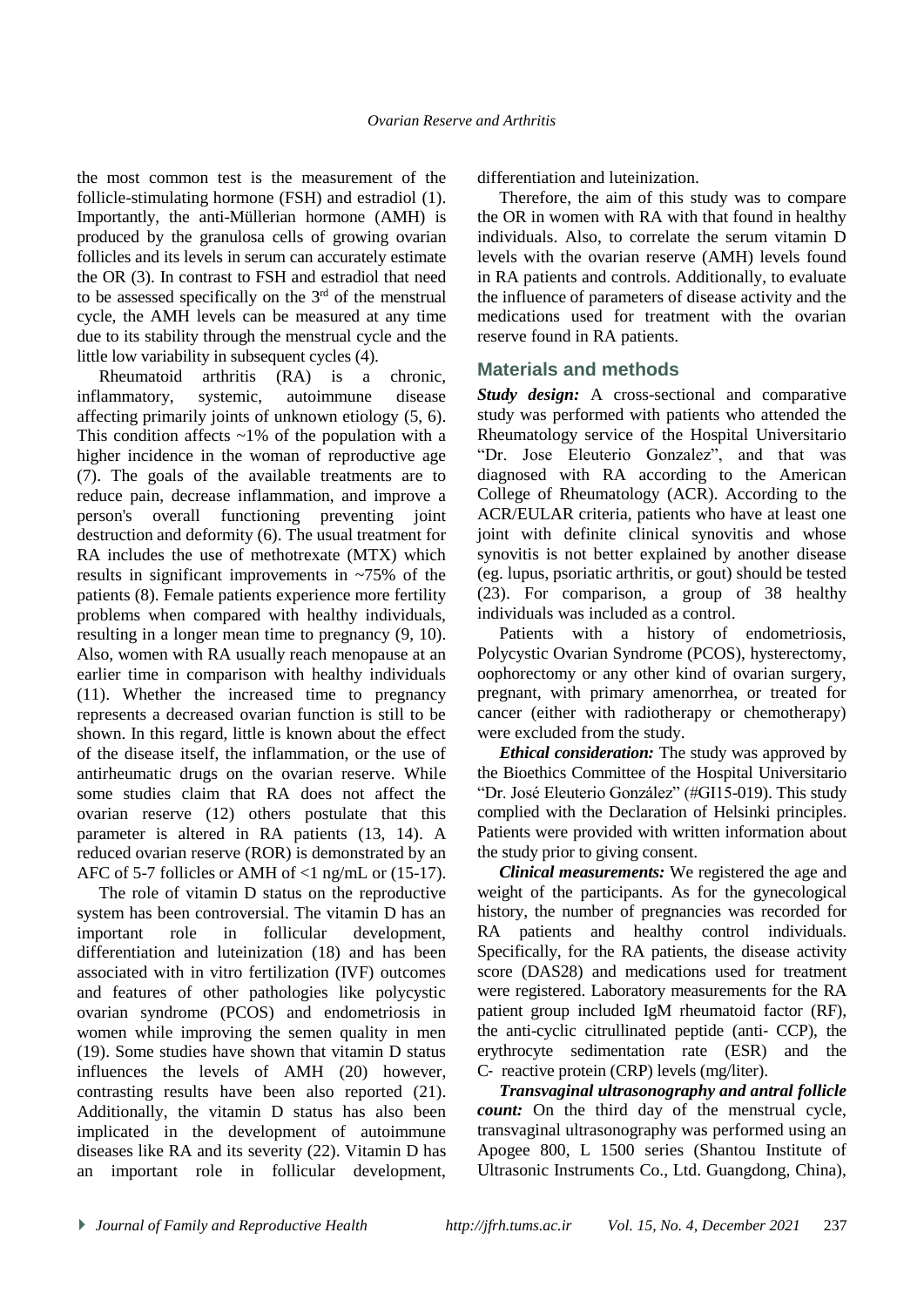the most common test is the measurement of the follicle-stimulating hormone (FSH) and estradiol (1). Importantly, the anti-Müllerian hormone (AMH) is produced by the granulosa cells of growing ovarian follicles and its levels in serum can accurately estimate the OR (3). In contrast to FSH and estradiol that need to be assessed specifically on the  $3<sup>rd</sup>$  of the menstrual cycle, the AMH levels can be measured at any time due to its stability through the menstrual cycle and the little low variability in subsequent cycles (4).

Rheumatoid arthritis (RA) is a chronic, inflammatory, systemic, autoimmune disease affecting primarily joints of unknown etiology (5, 6). This condition affects  $\sim$ 1% of the population with a higher incidence in the woman of reproductive age (7). The goals of the available treatments are to reduce pain, decrease inflammation, and improve a person's overall functioning preventing joint destruction and deformity (6). The usual treatment for RA includes the use of methotrexate (MTX) which results in significant improvements in ~75% of the patients (8). Female patients experience more fertility problems when compared with healthy individuals, resulting in a longer mean time to pregnancy (9, 10). Also, women with RA usually reach menopause at an earlier time in comparison with healthy individuals (11). Whether the increased time to pregnancy represents a decreased ovarian function is still to be shown. In this regard, little is known about the effect of the disease itself, the inflammation, or the use of antirheumatic drugs on the ovarian reserve. While some studies claim that RA does not affect the ovarian reserve (12) others postulate that this parameter is altered in RA patients (13, 14). A reduced ovarian reserve (ROR) is demonstrated by an AFC of 5-7 follicles or AMH of <1 ng/mL or (15-17).

The role of vitamin D status on the reproductive system has been controversial. The vitamin D has an important role in follicular development, differentiation and luteinization (18) and has been associated with in vitro fertilization (IVF) outcomes and features of other pathologies like polycystic ovarian syndrome (PCOS) and endometriosis in women while improving the semen quality in men (19). Some studies have shown that vitamin D status influences the levels of AMH (20) however, contrasting results have been also reported (21). Additionally, the vitamin D status has also been implicated in the development of autoimmune diseases like RA and its severity (22). Vitamin D has an important role in follicular development,

differentiation and luteinization.

Therefore, the aim of this study was to compare the OR in women with RA with that found in healthy individuals. Also, to correlate the serum vitamin D levels with the ovarian reserve (AMH) levels found in RA patients and controls. Additionally, to evaluate the influence of parameters of disease activity and the medications used for treatment with the ovarian reserve found in RA patients.

# **Materials and methods**

*Study design:* A cross-sectional and comparative study was performed with patients who attended the Rheumatology service of the Hospital Universitario "Dr. Jose Eleuterio Gonzalez", and that was diagnosed with RA according to the American College of Rheumatology (ACR). According to the ACR/EULAR criteria, patients who have at least one joint with definite clinical synovitis and whose synovitis is not better explained by another disease (eg. lupus, psoriatic arthritis, or gout) should be tested (23). For comparison, a group of 38 healthy individuals was included as a control.

Patients with a history of endometriosis, Polycystic Ovarian Syndrome (PCOS), hysterectomy, oophorectomy or any other kind of ovarian surgery, pregnant, with primary amenorrhea, or treated for cancer (either with radiotherapy or chemotherapy) were excluded from the study.

*Ethical consideration:* The study was approved by the Bioethics Committee of the Hospital Universitario "Dr. José Eleuterio González" (#GI15-019). This study complied with the Declaration of Helsinki principles. Patients were provided with written information about the study prior to giving consent.

*Clinical measurements:* We registered the age and weight of the participants. As for the gynecological history, the number of pregnancies was recorded for RA patients and healthy control individuals. Specifically, for the RA patients, the disease activity score (DAS28) and medications used for treatment were registered. Laboratory measurements for the RA patient group included IgM rheumatoid factor (RF), the anti-cyclic citrullinated peptide (anti‐ CCP), the erythrocyte sedimentation rate (ESR) and the C‐ reactive protein (CRP) levels (mg/liter).

*Transvaginal ultrasonography and antral follicle count:* On the third day of the menstrual cycle, transvaginal ultrasonography was performed using an Apogee 800, L 1500 series (Shantou Institute of Ultrasonic Instruments Co., Ltd. Guangdong, China),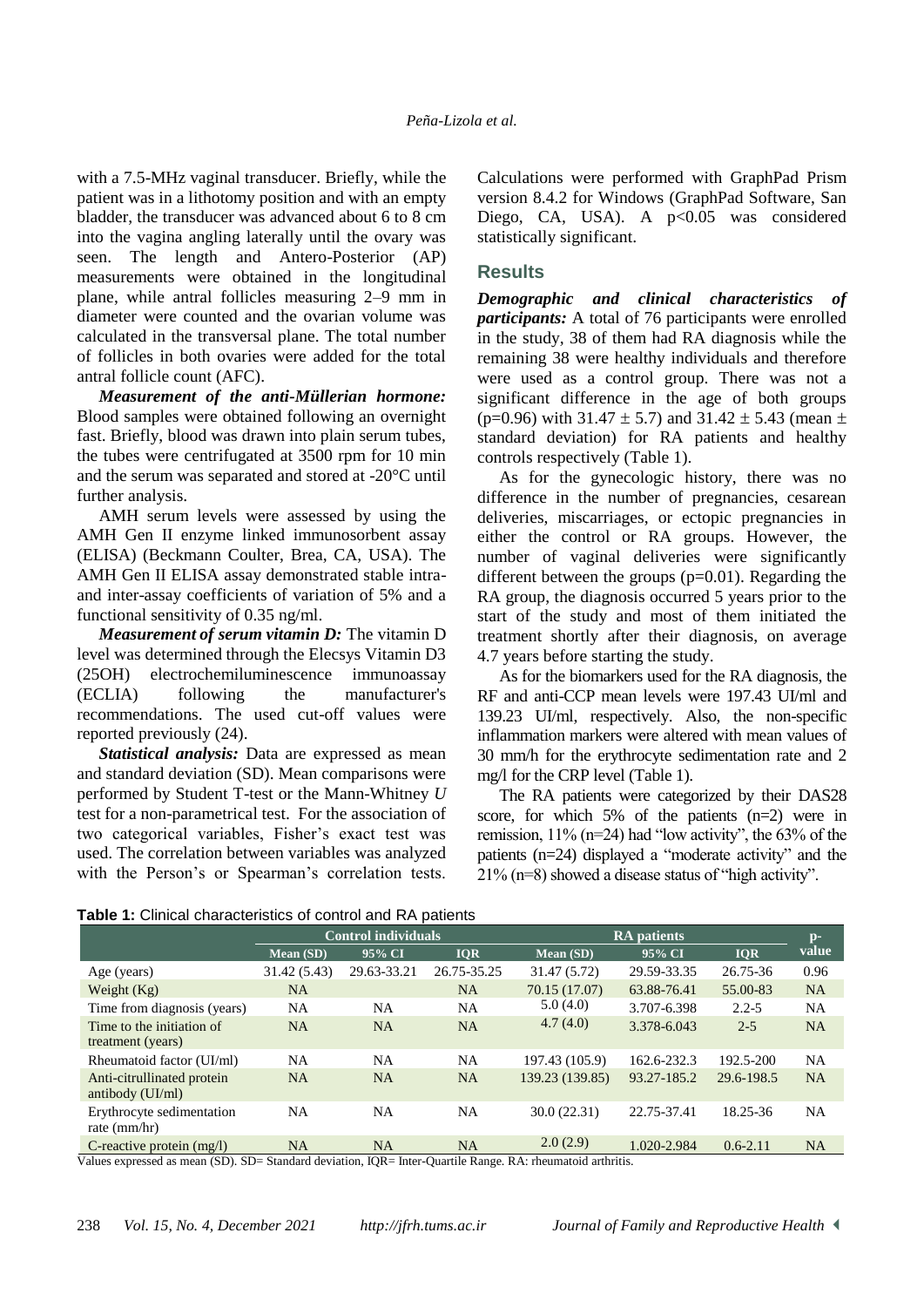with a 7.5-MHz vaginal transducer. Briefly, while the patient was in a lithotomy position and with an empty bladder, the transducer was advanced about 6 to 8 cm into the vagina angling laterally until the ovary was seen. The length and Antero-Posterior (AP) measurements were obtained in the longitudinal plane, while antral follicles measuring 2–9 mm in diameter were counted and the ovarian volume was calculated in the transversal plane. The total number of follicles in both ovaries were added for the total antral follicle count (AFC).

*Measurement of the anti-Müllerian hormone:* Blood samples were obtained following an overnight fast. Briefly, blood was drawn into plain serum tubes, the tubes were centrifugated at 3500 rpm for 10 min and the serum was separated and stored at -20°C until further analysis.

AMH serum levels were assessed by using the AMH Gen II enzyme linked immunosorbent assay (ELISA) (Beckmann Coulter, Brea, CA, USA). The AMH Gen II ELISA assay demonstrated stable intraand inter-assay coefficients of variation of 5% and a functional sensitivity of 0.35 ng/ml.

*Measurement of serum vitamin D:* The vitamin D level was determined through the Elecsys Vitamin D3 (25OH) electrochemiluminescence immunoassay (ECLIA) following the manufacturer's recommendations. The used cut-off values were reported previously (24).

*Statistical analysis:* Data are expressed as mean and standard deviation (SD). Mean comparisons were performed by Student T-test or the Mann-Whitney *U* test for a non-parametrical test. For the association of two categorical variables, Fisher's exact test was used. The correlation between variables was analyzed with the Person's or Spearman's correlation tests.

Calculations were performed with GraphPad Prism version 8.4.2 for Windows (GraphPad Software, San Diego, CA, USA). A p<0.05 was considered statistically significant.

#### **Results**

*Demographic and clinical characteristics of participants:* A total of 76 participants were enrolled in the study, 38 of them had RA diagnosis while the remaining 38 were healthy individuals and therefore were used as a control group. There was not a significant difference in the age of both groups (p=0.96) with  $31.47 \pm 5.7$ ) and  $31.42 \pm 5.43$  (mean  $\pm$ standard deviation) for RA patients and healthy controls respectively (Table 1).

As for the gynecologic history, there was no difference in the number of pregnancies, cesarean deliveries, miscarriages, or ectopic pregnancies in either the control or RA groups. However, the number of vaginal deliveries were significantly different between the groups (p=0.01). Regarding the RA group, the diagnosis occurred 5 years prior to the start of the study and most of them initiated the treatment shortly after their diagnosis, on average 4.7 years before starting the study.

As for the biomarkers used for the RA diagnosis, the RF and anti-CCP mean levels were 197.43 UI/ml and 139.23 UI/ml, respectively. Also, the non-specific inflammation markers were altered with mean values of 30 mm/h for the erythrocyte sedimentation rate and 2 mg/l for the CRP level (Table 1).

The RA patients were categorized by their DAS28 score, for which 5% of the patients (n=2) were in remission, 11% (n=24) had "low activity", the 63% of the patients (n=24) displayed a "moderate activity" and the 21% (n=8) showed a disease status of "high activity".

**Table 1:** Clinical characteristics of control and RA patients

|                                                  | <b>Control individuals</b> |             |             | <b>RA</b> patients |             |              | $\mathbf{p}$ - |
|--------------------------------------------------|----------------------------|-------------|-------------|--------------------|-------------|--------------|----------------|
|                                                  | Mean (SD)                  | 95% CI      | <b>IOR</b>  | Mean (SD)          | 95% CI      | <b>IOR</b>   | value          |
| Age (years)                                      | 31.42 (5.43)               | 29.63-33.21 | 26.75-35.25 | 31.47 (5.72)       | 29.59-33.35 | 26.75-36     | 0.96           |
| Weight $(Kg)$                                    | <b>NA</b>                  |             | <b>NA</b>   | 70.15 (17.07)      | 63.88-76.41 | 55.00-83     | <b>NA</b>      |
| Time from diagnosis (years)                      | <b>NA</b>                  | <b>NA</b>   | NA          | 5.0(4.0)           | 3.707-6.398 | $2.2 - 5$    | <b>NA</b>      |
| Time to the initiation of                        | <b>NA</b>                  | <b>NA</b>   | <b>NA</b>   | 4.7(4.0)           | 3.378-6.043 | $2 - 5$      | <b>NA</b>      |
| treatment (years)                                |                            |             |             |                    |             |              |                |
| Rheumatoid factor (UI/ml)                        | <b>NA</b>                  | <b>NA</b>   | NA          | 197.43 (105.9)     | 162.6-232.3 | 192.5-200    | <b>NA</b>      |
| Anti-citrullinated protein<br>antibody $(UI/ml)$ | <b>NA</b>                  | <b>NA</b>   | <b>NA</b>   | 139.23 (139.85)    | 93.27-185.2 | 29.6-198.5   | <b>NA</b>      |
| Erythrocyte sedimentation<br>rate $(mm/hr)$      | <b>NA</b>                  | <b>NA</b>   | NA          | 30.0(22.31)        | 22.75-37.41 | 18.25-36     | <b>NA</b>      |
| C-reactive protein $(mg/l)$                      | <b>NA</b>                  | <b>NA</b>   | <b>NA</b>   | 2.0(2.9)           | 1.020-2.984 | $0.6 - 2.11$ | NA             |

Values expressed as mean (SD). SD= Standard deviation, IQR= Inter-Quartile Range. RA: rheumatoid arthritis.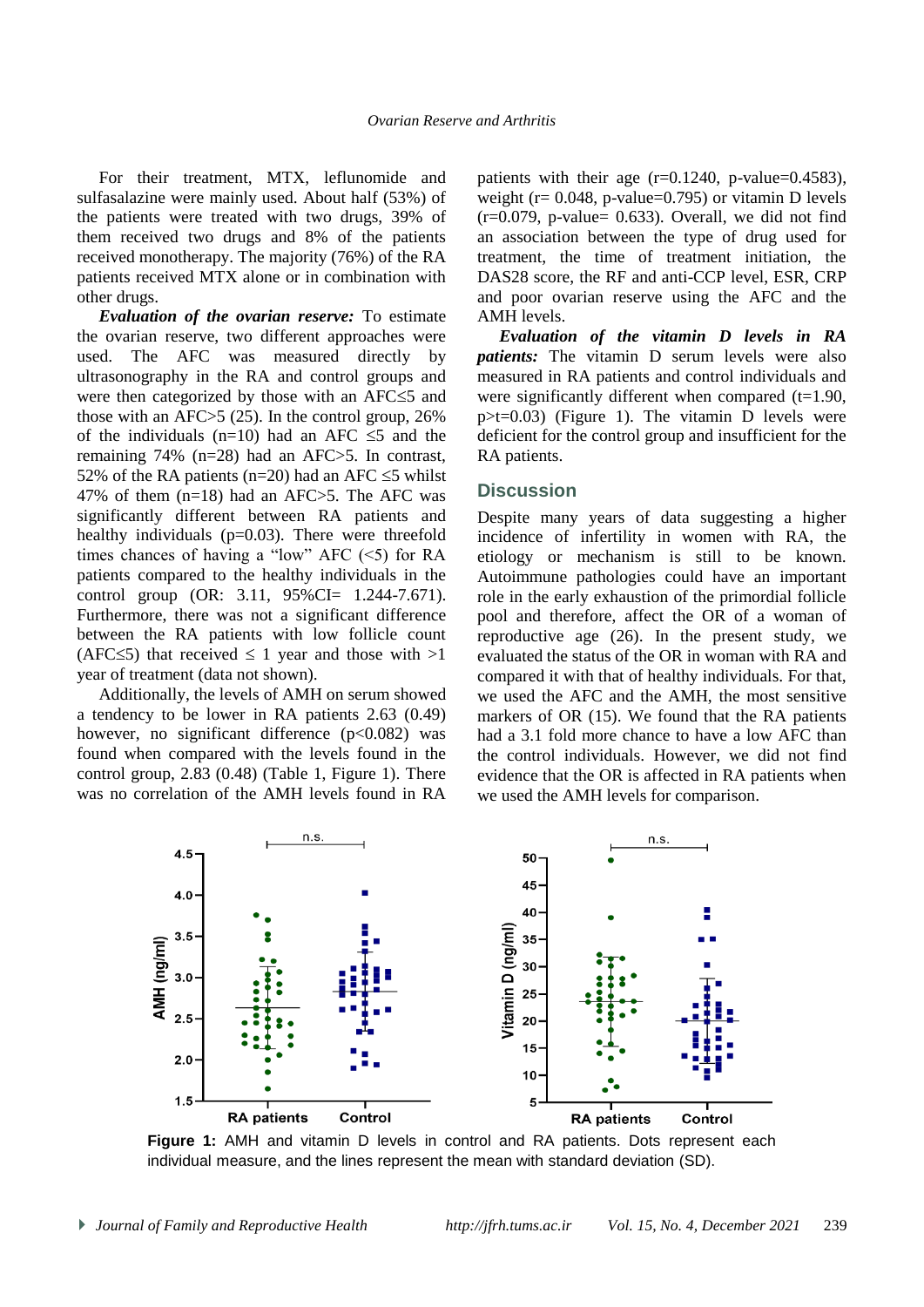For their treatment, MTX, leflunomide and sulfasalazine were mainly used. About half (53%) of the patients were treated with two drugs, 39% of them received two drugs and 8% of the patients received monotherapy. The majority (76%) of the RA patients received MTX alone or in combination with other drugs.

*Evaluation of the ovarian reserve:* To estimate the ovarian reserve, two different approaches were used. The AFC was measured directly by ultrasonography in the RA and control groups and were then categorized by those with an  $AFC \leq 5$  and those with an AFC $>5$  (25). In the control group, 26% of the individuals (n=10) had an AFC  $\leq$ 5 and the remaining 74% (n=28) had an AFC>5. In contrast, 52% of the RA patients (n=20) had an AFC  $\leq$ 5 whilst 47% of them (n=18) had an AFC>5. The AFC was significantly different between RA patients and healthy individuals  $(p=0.03)$ . There were threefold times chances of having a "low" AFC  $(\leq 5)$  for RA patients compared to the healthy individuals in the control group (OR: 3.11, 95%CI= 1.244-7.671). Furthermore, there was not a significant difference between the RA patients with low follicle count (AFC $\leq$ 5) that received  $\leq$  1 year and those with  $>1$ year of treatment (data not shown).

Additionally, the levels of AMH on serum showed a tendency to be lower in RA patients 2.63 (0.49) however, no significant difference  $(p<0.082)$  was found when compared with the levels found in the control group, 2.83 (0.48) (Table 1, Figure 1). There was no correlation of the AMH levels found in RA patients with their age  $(r=0.1240, p-value=0.4583)$ , weight ( $r = 0.048$ , p-value=0.795) or vitamin D levels  $(r=0.079, p-value= 0.633)$ . Overall, we did not find an association between the type of drug used for treatment, the time of treatment initiation, the DAS28 score, the RF and anti-CCP level, ESR, CRP and poor ovarian reserve using the AFC and the AMH levels.

*Evaluation of the vitamin D levels in RA patients:* The vitamin D serum levels were also measured in RA patients and control individuals and were significantly different when compared  $(t=1.90,$  $p \geq t = 0.03$ ) (Figure 1). The vitamin D levels were deficient for the control group and insufficient for the RA patients.

#### **Discussion**

Despite many years of data suggesting a higher incidence of infertility in women with RA, the etiology or mechanism is still to be known. Autoimmune pathologies could have an important role in the early exhaustion of the primordial follicle pool and therefore, affect the OR of a woman of reproductive age (26). In the present study, we evaluated the status of the OR in woman with RA and compared it with that of healthy individuals. For that, we used the AFC and the AMH, the most sensitive markers of OR (15). We found that the RA patients had a 3.1 fold more chance to have a low AFC than the control individuals. However, we did not find evidence that the OR is affected in RA patients when we used the AMH levels for comparison.



**Figure 1:** AMH and vitamin D levels in control and RA patients. Dots represent each individual measure, and the lines represent the mean with standard deviation (SD).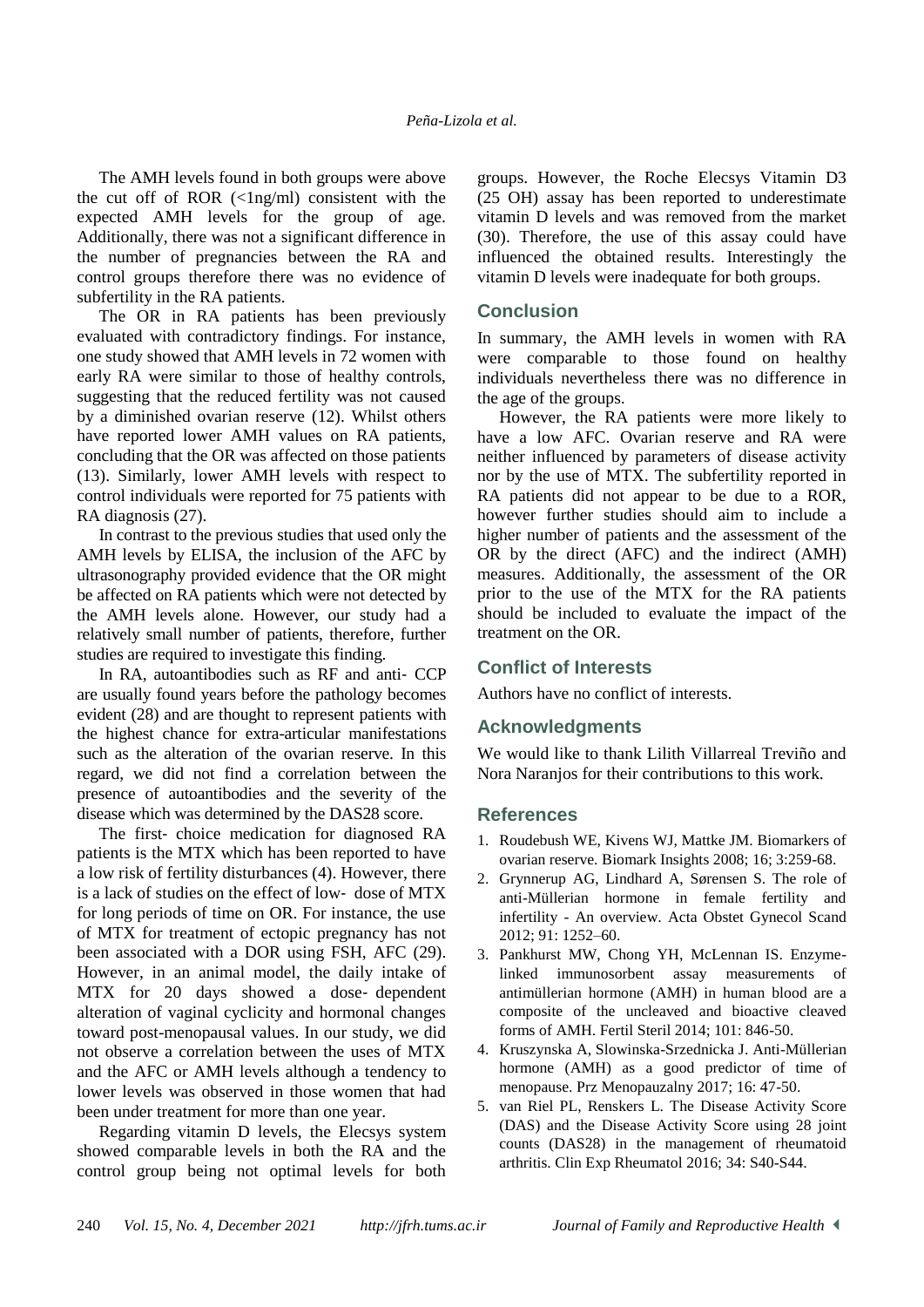The AMH levels found in both groups were above the cut off of ROR  $(\langle 1 \text{ng/ml})$  consistent with the expected AMH levels for the group of age. Additionally, there was not a significant difference in the number of pregnancies between the RA and control groups therefore there was no evidence of subfertility in the RA patients.

The OR in RA patients has been previously evaluated with contradictory findings. For instance, one study showed that AMH levels in 72 women with early RA were similar to those of healthy controls, suggesting that the reduced fertility was not caused by a diminished ovarian reserve (12). Whilst others have reported lower AMH values on RA patients, concluding that the OR was affected on those patients (13). Similarly, lower AMH levels with respect to control individuals were reported for 75 patients with RA diagnosis (27).

In contrast to the previous studies that used only the AMH levels by ELISA, the inclusion of the AFC by ultrasonography provided evidence that the OR might be affected on RA patients which were not detected by the AMH levels alone. However, our study had a relatively small number of patients, therefore, further studies are required to investigate this finding.

In RA, autoantibodies such as RF and anti‐ CCP are usually found years before the pathology becomes evident (28) and are thought to represent patients with the highest chance for extra-articular manifestations such as the alteration of the ovarian reserve. In this regard, we did not find a correlation between the presence of autoantibodies and the severity of the disease which was determined by the DAS28 score.

The first-choice medication for diagnosed RA patients is the MTX which has been reported to have a low risk of fertility disturbances (4). However, there is a lack of studies on the effect of low‐ dose of MTX for long periods of time on OR. For instance, the use of MTX for treatment of ectopic pregnancy has not been associated with a DOR using FSH, AFC (29). However, in an animal model, the daily intake of MTX for 20 days showed a dose‐ dependent alteration of vaginal cyclicity and hormonal changes toward post-menopausal values. In our study, we did not observe a correlation between the uses of MTX and the AFC or AMH levels although a tendency to lower levels was observed in those women that had been under treatment for more than one year.

Regarding vitamin D levels, the Elecsys system showed comparable levels in both the RA and the control group being not optimal levels for both

groups. However, the Roche Elecsys Vitamin D3 (25 OH) assay has been reported to underestimate vitamin D levels and was removed from the market (30). Therefore, the use of this assay could have influenced the obtained results. Interestingly the vitamin D levels were inadequate for both groups.

# **Conclusion**

In summary, the AMH levels in women with RA were comparable to those found on healthy individuals nevertheless there was no difference in the age of the groups.

However, the RA patients were more likely to have a low AFC. Ovarian reserve and RA were neither influenced by parameters of disease activity nor by the use of MTX. The subfertility reported in RA patients did not appear to be due to a ROR, however further studies should aim to include a higher number of patients and the assessment of the OR by the direct (AFC) and the indirect (AMH) measures. Additionally, the assessment of the OR prior to the use of the MTX for the RA patients should be included to evaluate the impact of the treatment on the OR.

# **Conflict of Interests**

Authors have no conflict of interests.

# **Acknowledgments**

We would like to thank Lilith Villarreal Treviño and Nora Naranjos for their contributions to this work.

# **References**

- 1. Roudebush WE, Kivens WJ, Mattke JM. Biomarkers of ovarian reserve. Biomark Insights 2008; 16; 3:259-68.
- 2. Grynnerup AG, Lindhard A, Sørensen S. The role of anti-Müllerian hormone in female fertility and infertility - An overview. Acta Obstet Gynecol Scand 2012; 91: 1252–60.
- 3. Pankhurst MW, Chong YH, McLennan IS. Enzymelinked immunosorbent assay measurements of antimüllerian hormone (AMH) in human blood are a composite of the uncleaved and bioactive cleaved forms of AMH. Fertil Steril 2014; 101: 846-50.
- 4. Kruszynska A, Slowinska-Srzednicka J. Anti-Müllerian hormone (AMH) as a good predictor of time of menopause. Prz Menopauzalny 2017; 16: 47-50.
- 5. van Riel PL, Renskers L. The Disease Activity Score (DAS) and the Disease Activity Score using 28 joint counts (DAS28) in the management of rheumatoid arthritis. Clin Exp Rheumatol 2016; 34: S40-S44.